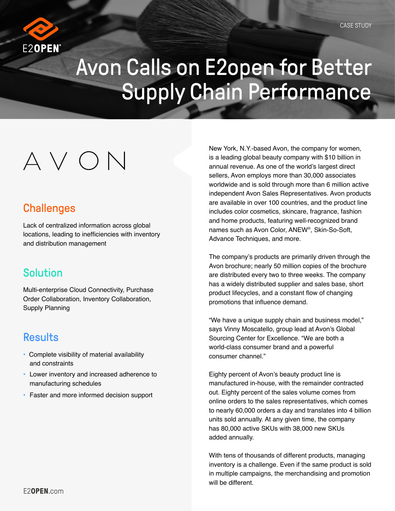

## Avon Calls on E2open for Better Supply Chain Performance

# $\wedge$   $\vee$   $\cap$   $\wedge$

## **Challenges**

Lack of centralized information across global locations, leading to inefficiencies with inventory and distribution management

## Solution

Multi-enterprise Cloud Connectivity, Purchase Order Collaboration, Inventory Collaboration, Supply Planning

## **Results**

- Complete visibility of material availability and constraints
- Lower inventory and increased adherence to manufacturing schedules
- Faster and more informed decision support

New York, N.Y.-based Avon, the company for women, is a leading global beauty company with \$10 billion in annual revenue. As one of the world's largest direct sellers, Avon employs more than 30,000 associates worldwide and is sold through more than 6 million active independent Avon Sales Representatives. Avon products are available in over 100 countries, and the product line includes color cosmetics, skincare, fragrance, fashion and home products, featuring well-recognized brand names such as Avon Color, ANEW®, Skin-So-Soft, Advance Techniques, and more.

The company's products are primarily driven through the Avon brochure; nearly 50 million copies of the brochure are distributed every two to three weeks. The company has a widely distributed supplier and sales base, short product lifecycles, and a constant flow of changing promotions that influence demand.

"We have a unique supply chain and business model," says Vinny Moscatello, group lead at Avon's Global Sourcing Center for Excellence. "We are both a world-class consumer brand and a powerful consumer channel."

Eighty percent of Avon's beauty product line is manufactured in-house, with the remainder contracted out. Eighty percent of the sales volume comes from online orders to the sales representatives, which comes to nearly 60,000 orders a day and translates into 4 billion units sold annually. At any given time, the company has 80,000 active SKUs with 38,000 new SKUs added annually.

With tens of thousands of different products, managing inventory is a challenge. Even if the same product is sold in multiple campaigns, the merchandising and promotion will be different.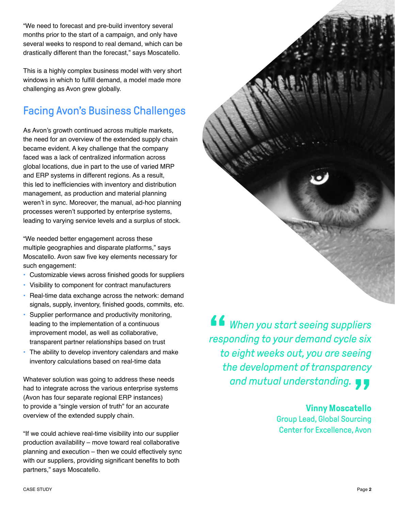"We need to forecast and pre-build inventory several months prior to the start of a campaign, and only have several weeks to respond to real demand, which can be drastically different than the forecast," says Moscatello.

This is a highly complex business model with very short windows in which to fulfill demand, a model made more challenging as Avon grew globally.

## Facing Avon's Business Challenges

As Avon's growth continued across multiple markets, the need for an overview of the extended supply chain became evident. A key challenge that the company faced was a lack of centralized information across global locations, due in part to the use of varied MRP and ERP systems in different regions. As a result, this led to inefficiencies with inventory and distribution management, as production and material planning weren't in sync. Moreover, the manual, ad-hoc planning processes weren't supported by enterprise systems, leading to varying service levels and a surplus of stock.

"We needed better engagement across these multiple geographies and disparate platforms," says Moscatello. Avon saw five key elements necessary for such engagement:

- Customizable views across finished goods for suppliers
- Visibility to component for contract manufacturers
- Real-time data exchange across the network: demand signals, supply, inventory, finished goods, commits, etc.
- Supplier performance and productivity monitoring, leading to the implementation of a continuous improvement model, as well as collaborative, transparent partner relationships based on trust
- The ability to develop inventory calendars and make inventory calculations based on real-time data

Whatever solution was going to address these needs had to integrate across the various enterprise systems (Avon has four separate regional ERP instances) to provide a "single version of truth" for an accurate overview of the extended supply chain.

"If we could achieve real-time visibility into our supplier production availability – move toward real collaborative planning and execution – then we could effectively sync with our suppliers, providing significant benefits to both partners," says Moscatello.

" *When you start seeing suppliers responding to your demand cycle six to eight weeks out, you are seeing the development of transparency*  and mutual understanding. <br>
<mark>Vinny Moscatello</mark>

#### **Vinny Moscatello**

Group Lead, Global Sourcing Center for Excellence, Avon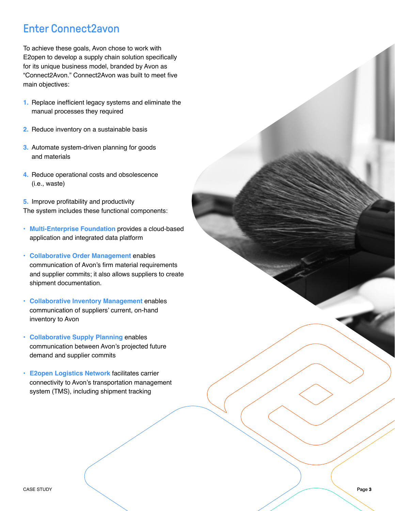## Enter Connect2avon

To achieve these goals, Avon chose to work with E2open to develop a supply chain solution specifically for its unique business model, branded by Avon as "Connect2Avon." Connect2Avon was built to meet five main objectives:

- **1.** Replace inefficient legacy systems and eliminate the manual processes they required
- **2.** Reduce inventory on a sustainable basis
- **3.** Automate system-driven planning for goods and materials
- **4.** Reduce operational costs and obsolescence (i.e., waste)

**5.** Improve profitability and productivity The system includes these functional components:

- **Multi-Enterprise Foundation** provides a cloud-based application and integrated data platform
- **Collaborative Order Management** enables communication of Avon's firm material requirements and supplier commits; it also allows suppliers to create shipment documentation.
- **Collaborative Inventory Management** enables communication of suppliers' current, on-hand inventory to Avon
- **Collaborative Supply Planning** enables communication between Avon's projected future demand and supplier commits
- **E2open Logistics Network** facilitates carrier connectivity to Avon's transportation management system (TMS), including shipment tracking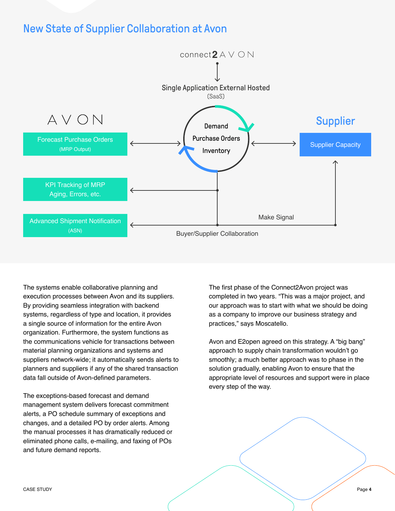### New State of Supplier Collaboration at Avon



The systems enable collaborative planning and execution processes between Avon and its suppliers. By providing seamless integration with backend systems, regardless of type and location, it provides a single source of information for the entire Avon organization. Furthermore, the system functions as the communications vehicle for transactions between material planning organizations and systems and suppliers network-wide; it automatically sends alerts to planners and suppliers if any of the shared transaction data fall outside of Avon-defined parameters.

The exceptions-based forecast and demand management system delivers forecast commitment alerts, a PO schedule summary of exceptions and changes, and a detailed PO by order alerts. Among the manual processes it has dramatically reduced or eliminated phone calls, e-mailing, and faxing of POs and future demand reports.

The first phase of the Connect2Avon project was completed in two years. "This was a major project, and our approach was to start with what we should be doing as a company to improve our business strategy and practices," says Moscatello.

Avon and E2open agreed on this strategy. A "big bang" approach to supply chain transformation wouldn't go smoothly; a much better approach was to phase in the solution gradually, enabling Avon to ensure that the appropriate level of resources and support were in place every step of the way.